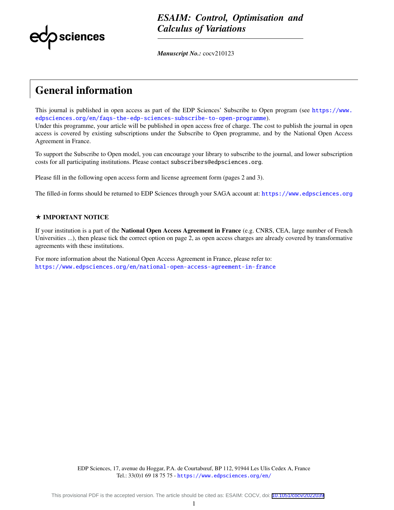

*ESAIM: Control, Optimisation and Calculus of Variations*

*Manuscript No.:* cocv210123

# General information

This journal is published in open access as part of the EDP Sciences' Subscribe to Open program (see [https://www.](https://www.edpsciences.org/en/faqs-the-edp-sciences-subscribe-to-open-programme) [edpsciences.org/en/faqs-the-edp-sciences-subscribe-to-open-programme](https://www.edpsciences.org/en/faqs-the-edp-sciences-subscribe-to-open-programme)). Under this programme, your article will be published in open access free of charge. The cost to publish the journal in open access is covered by existing subscriptions under the Subscribe to Open programme, and by the National Open Access Agreement in France.

To support the Subscribe to Open model, you can encourage your library to subscribe to the journal, and lower subscription costs for all participating institutions. Please contact subscribers@edpsciences.org.

Please fill in the following open access form and license agreement form (pages 2 and 3).

The filled-in forms should be returned to EDP Sciences through your SAGA account at: <https://www.edpsciences.org>

#### $\star$  IMPORTANT NOTICE

If your institution is a part of the **National Open Access Agreement in France** (e.g. CNRS, CEA, large number of French Universities ...), then please tick the correct option on page 2, as open access charges are already covered by transformative agreements with these institutions.

For more information about the National Open Access Agreement in France, please refer to: <https://www.edpsciences.org/en/national-open-access-agreement-in-france>

> EDP Sciences, 17, avenue du Hoggar, P.A. de Courtabœuf, BP 112, 91944 Les Ulis Cedex A, France Tel.: 33(0)1 69 18 75 75 - <https://www.edpsciences.org/en/>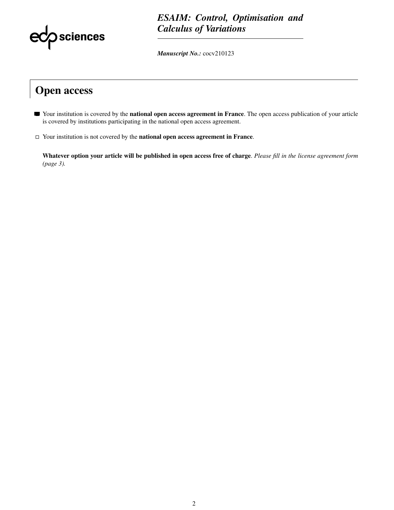

### *ESAIM: Control, Optimisation and Calculus of Variations*

*Manuscript No.:* cocv210123

## Open access

- Your institution is covered by the **national open access agreement in France**. The open access publication of your article is covered by institutions participating in the national open access agreement.
- $\Box$  Your institution is not covered by the **national open access agreement in France**.

Whatever option your article will be published in open access free of charge. *Please fill in the license agreement form (page 3).*